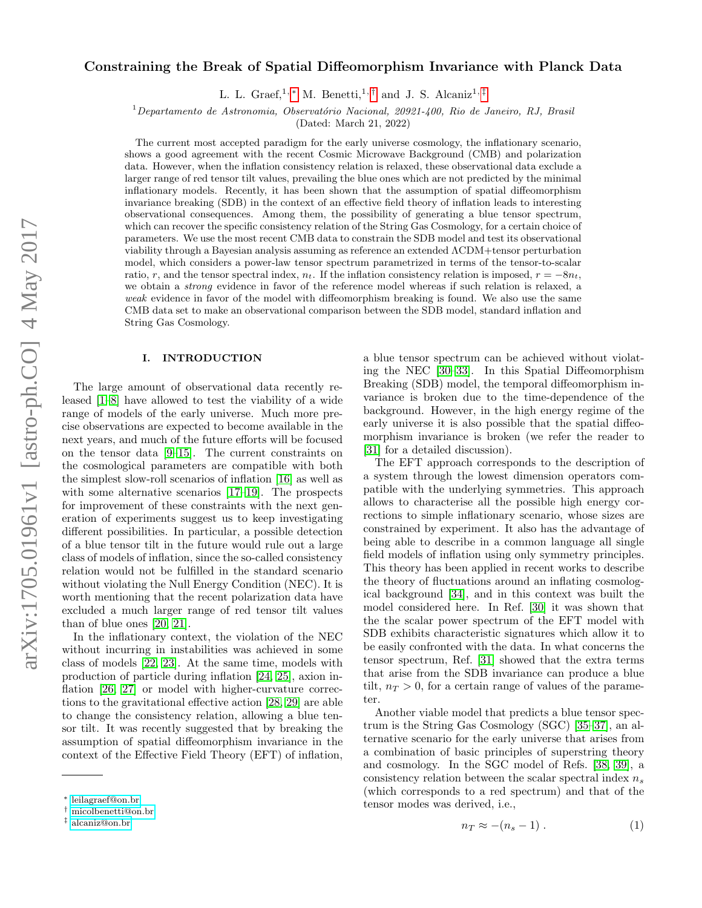# Constraining the Break of Spatial Diffeomorphism Invariance with Planck Data

L. L. Graef,<sup>1,\*</sup> M. Benetti,<sup>1,[†](#page-0-1)</sup> and J. S. Alcaniz<sup>1,[‡](#page-0-2)</sup>

 $1$ Departamento de Astronomia, Observatório Nacional, 20921-400, Rio de Janeiro, RJ, Brasil

(Dated: March 21, 2022)

The current most accepted paradigm for the early universe cosmology, the inflationary scenario, shows a good agreement with the recent Cosmic Microwave Background (CMB) and polarization data. However, when the inflation consistency relation is relaxed, these observational data exclude a larger range of red tensor tilt values, prevailing the blue ones which are not predicted by the minimal inflationary models. Recently, it has been shown that the assumption of spatial diffeomorphism invariance breaking (SDB) in the context of an effective field theory of inflation leads to interesting observational consequences. Among them, the possibility of generating a blue tensor spectrum, which can recover the specific consistency relation of the String Gas Cosmology, for a certain choice of parameters. We use the most recent CMB data to constrain the SDB model and test its observational viability through a Bayesian analysis assuming as reference an extended ΛCDM+tensor perturbation model, which considers a power-law tensor spectrum parametrized in terms of the tensor-to-scalar ratio, r, and the tensor spectral index,  $n_t$ . If the inflation consistency relation is imposed,  $r = -8n_t$ , we obtain a strong evidence in favor of the reference model whereas if such relation is relaxed, a weak evidence in favor of the model with diffeomorphism breaking is found. We also use the same CMB data set to make an observational comparison between the SDB model, standard inflation and String Gas Cosmology.

### I. INTRODUCTION

The large amount of observational data recently released [\[1–](#page-6-0)[8\]](#page-7-0) have allowed to test the viability of a wide range of models of the early universe. Much more precise observations are expected to become available in the next years, and much of the future efforts will be focused on the tensor data [\[9](#page-7-1)[–15\]](#page-7-2). The current constraints on the cosmological parameters are compatible with both the simplest slow-roll scenarios of inflation [\[16\]](#page-7-3) as well as with some alternative scenarios [\[17–](#page-7-4)[19\]](#page-7-5). The prospects for improvement of these constraints with the next generation of experiments suggest us to keep investigating different possibilities. In particular, a possible detection of a blue tensor tilt in the future would rule out a large class of models of inflation, since the so-called consistency relation would not be fulfilled in the standard scenario without violating the Null Energy Condition (NEC). It is worth mentioning that the recent polarization data have excluded a much larger range of red tensor tilt values than of blue ones [\[20,](#page-7-6) [21\]](#page-7-7).

In the inflationary context, the violation of the NEC without incurring in instabilities was achieved in some class of models [\[22,](#page-7-8) [23\]](#page-7-9). At the same time, models with production of particle during inflation [\[24,](#page-7-10) [25\]](#page-7-11), axion in-flation [\[26,](#page-7-12) [27\]](#page-7-13) or model with higher-curvature corrections to the gravitational effective action [\[28,](#page-7-14) [29\]](#page-7-15) are able to change the consistency relation, allowing a blue tensor tilt. It was recently suggested that by breaking the assumption of spatial diffeomorphism invariance in the context of the Effective Field Theory (EFT) of inflation,

a blue tensor spectrum can be achieved without violating the NEC [\[30](#page-7-16)[–33\]](#page-7-17). In this Spatial Diffeomorphism Breaking (SDB) model, the temporal diffeomorphism invariance is broken due to the time-dependence of the background. However, in the high energy regime of the early universe it is also possible that the spatial diffeomorphism invariance is broken (we refer the reader to [\[31\]](#page-7-18) for a detailed discussion).

The EFT approach corresponds to the description of a system through the lowest dimension operators compatible with the underlying symmetries. This approach allows to characterise all the possible high energy corrections to simple inflationary scenario, whose sizes are constrained by experiment. It also has the advantage of being able to describe in a common language all single field models of inflation using only symmetry principles. This theory has been applied in recent works to describe the theory of fluctuations around an inflating cosmological background [\[34\]](#page-7-19), and in this context was built the model considered here. In Ref. [\[30\]](#page-7-16) it was shown that the the scalar power spectrum of the EFT model with SDB exhibits characteristic signatures which allow it to be easily confronted with the data. In what concerns the tensor spectrum, Ref. [\[31\]](#page-7-18) showed that the extra terms that arise from the SDB invariance can produce a blue tilt,  $n_T > 0$ , for a certain range of values of the parameter.

Another viable model that predicts a blue tensor spectrum is the String Gas Cosmology (SGC) [\[35–](#page-7-20)[37\]](#page-7-21), an alternative scenario for the early universe that arises from a combination of basic principles of superstring theory and cosmology. In the SGC model of Refs. [\[38,](#page-7-22) [39\]](#page-7-23), a consistency relation between the scalar spectral index  $n_s$ (which corresponds to a red spectrum) and that of the tensor modes was derived, i.e.,

<span id="page-0-3"></span>
$$
n_T \approx -(n_s - 1) \,. \tag{1}
$$

<span id="page-0-0"></span><sup>∗</sup> [leilagraef@on.br](mailto:leilagraef@on.br)

<span id="page-0-1"></span><sup>†</sup> [micolbenetti@on.br](mailto:micolbenetti@on.br)

<span id="page-0-2"></span><sup>‡</sup> [alcaniz@on.br](mailto:alcaniz@on.br)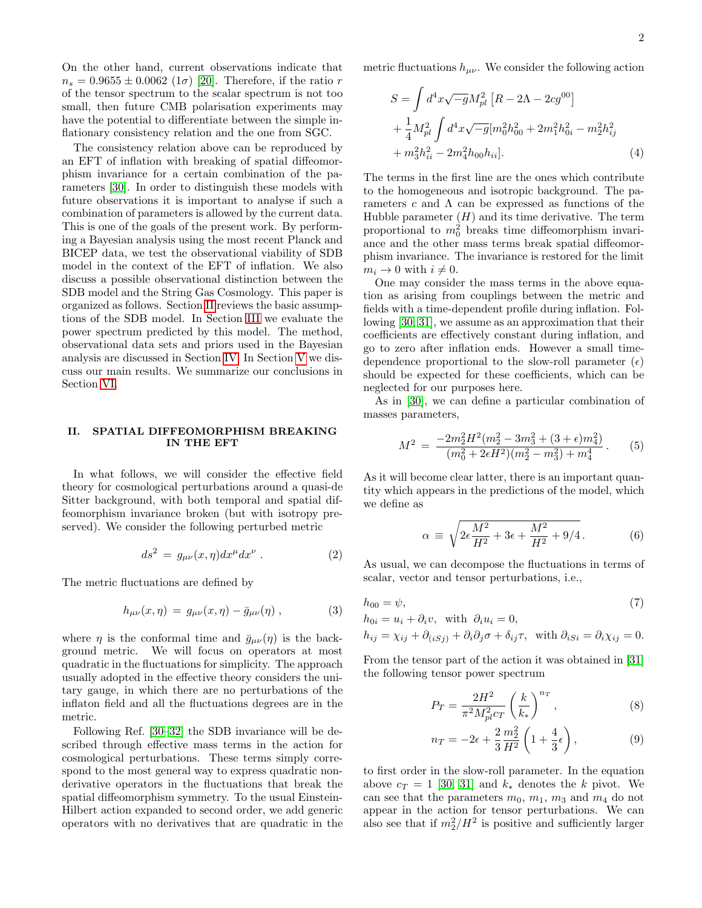On the other hand, current observations indicate that  $n_s = 0.9655 \pm 0.0062$  (1 $\sigma$ ) [\[20\]](#page-7-6). Therefore, if the ratio r of the tensor spectrum to the scalar spectrum is not too small, then future CMB polarisation experiments may have the potential to differentiate between the simple inflationary consistency relation and the one from SGC.

The consistency relation above can be reproduced by an EFT of inflation with breaking of spatial diffeomorphism invariance for a certain combination of the parameters [\[30\]](#page-7-16). In order to distinguish these models with future observations it is important to analyse if such a combination of parameters is allowed by the current data. This is one of the goals of the present work. By performing a Bayesian analysis using the most recent Planck and BICEP data, we test the observational viability of SDB model in the context of the EFT of inflation. We also discuss a possible observational distinction between the SDB model and the String Gas Cosmology. This paper is organized as follows. Section [II](#page-1-0) reviews the basic assumptions of the SDB model. In Section [III](#page-2-0) we evaluate the power spectrum predicted by this model. The method, observational data sets and priors used in the Bayesian analysis are discussed in Section [IV.](#page-3-0) In Section [V](#page-4-0) we discuss our main results. We summarize our conclusions in Section [VI.](#page-6-1)

## <span id="page-1-0"></span>II. SPATIAL DIFFEOMORPHISM BREAKING IN THE EFT

In what follows, we will consider the effective field theory for cosmological perturbations around a quasi-de Sitter background, with both temporal and spatial diffeomorphism invariance broken (but with isotropy preserved). We consider the following perturbed metric

$$
ds^2 = g_{\mu\nu}(x,\eta)dx^{\mu}dx^{\nu} . \qquad (2)
$$

The metric fluctuations are defined by

$$
h_{\mu\nu}(x,\eta) = g_{\mu\nu}(x,\eta) - \bar{g}_{\mu\nu}(\eta) , \qquad (3)
$$

where  $\eta$  is the conformal time and  $\bar{g}_{\mu\nu}(\eta)$  is the background metric. We will focus on operators at most quadratic in the fluctuations for simplicity. The approach usually adopted in the effective theory considers the unitary gauge, in which there are no perturbations of the inflaton field and all the fluctuations degrees are in the metric.

Following Ref. [\[30–](#page-7-16)[32\]](#page-7-24) the SDB invariance will be described through effective mass terms in the action for cosmological perturbations. These terms simply correspond to the most general way to express quadratic nonderivative operators in the fluctuations that break the spatial diffeomorphism symmetry. To the usual Einstein-Hilbert action expanded to second order, we add generic operators with no derivatives that are quadratic in the metric fluctuations  $h_{\mu\nu}$ . We consider the following action

$$
S = \int d^4x \sqrt{-g} M_{pl}^2 \left[ R - 2\Lambda - 2cg^{00} \right] + \frac{1}{4} M_{pl}^2 \int d^4x \sqrt{-g} [m_0^2 h_{00}^2 + 2m_1^2 h_{0i}^2 - m_2^2 h_{ij}^2 + m_3^2 h_{ii}^2 - 2m_4^2 h_{00} h_{ii}].
$$
 (4)

The terms in the first line are the ones which contribute to the homogeneous and isotropic background. The parameters  $c$  and  $\Lambda$  can be expressed as functions of the Hubble parameter  $(H)$  and its time derivative. The term proportional to  $m_0^2$  breaks time diffeomorphism invariance and the other mass terms break spatial diffeomorphism invariance. The invariance is restored for the limit  $m_i \rightarrow 0$  with  $i \neq 0$ .

One may consider the mass terms in the above equation as arising from couplings between the metric and fields with a time-dependent profile during inflation. Following [\[30,](#page-7-16) [31\]](#page-7-18), we assume as an approximation that their coefficients are effectively constant during inflation, and go to zero after inflation ends. However a small timedependence proportional to the slow-roll parameter  $(\epsilon)$ should be expected for these coefficients, which can be neglected for our purposes here.

As in [\[30\]](#page-7-16), we can define a particular combination of masses parameters,

<span id="page-1-3"></span>
$$
M^{2} = \frac{-2m_{2}^{2}H^{2}(m_{2}^{2} - 3m_{3}^{2} + (3 + \epsilon)m_{4}^{2})}{(m_{0}^{2} + 2\epsilon H^{2})(m_{2}^{2} - m_{3}^{2}) + m_{4}^{4}}.
$$
 (5)

As it will become clear latter, there is an important quantity which appears in the predictions of the model, which we define as

<span id="page-1-1"></span>
$$
\alpha \equiv \sqrt{2\epsilon \frac{M^2}{H^2} + 3\epsilon + \frac{M^2}{H^2} + 9/4}.
$$
 (6)

As usual, we can decompose the fluctuations in terms of scalar, vector and tensor perturbations, i.e.,

$$
h_{00} = \psi,\tag{7}
$$

 $h_{0i} = u_i + \partial_i v$ , with  $\partial_i u_i = 0$ ,

$$
h_{ij} = \chi_{ij} + \partial_{(iSj)} + \partial_i \partial_j \sigma + \delta_{ij} \tau, \text{ with } \partial_{iSi} = \partial_i \chi_{ij} = 0.
$$

From the tensor part of the action it was obtained in [\[31\]](#page-7-18) the following tensor power spectrum

<span id="page-1-2"></span>
$$
P_T = \frac{2H^2}{\pi^2 M_{pl}^2 c_T} \left(\frac{k}{k_*}\right)^{n_T},
$$
 (8)

<span id="page-1-4"></span>
$$
n_T = -2\epsilon + \frac{2}{3} \frac{m_2^2}{H^2} \left( 1 + \frac{4}{3} \epsilon \right),\tag{9}
$$

to first order in the slow-roll parameter. In the equation above  $c_T = 1$  [\[30,](#page-7-16) [31\]](#page-7-18) and  $k_*$  denotes the k pivot. We can see that the parameters  $m_0$ ,  $m_1$ ,  $m_3$  and  $m_4$  do not appear in the action for tensor perturbations. We can also see that if  $m_2^2/H^2$  is positive and sufficiently larger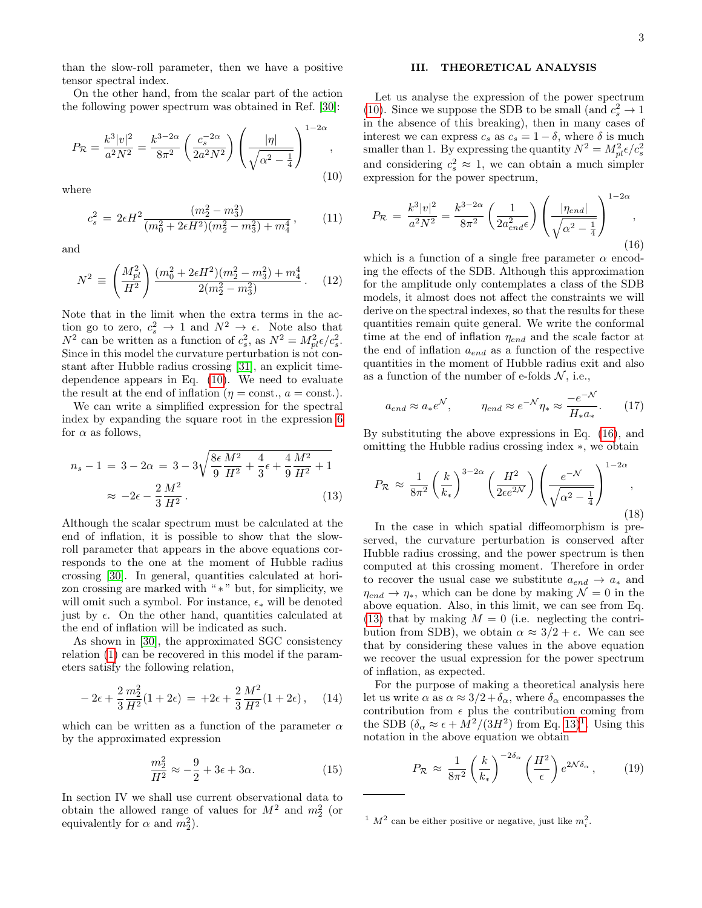than the slow-roll parameter, then we have a positive tensor spectral index.

On the other hand, from the scalar part of the action the following power spectrum was obtained in Ref. [\[30\]](#page-7-16):

<span id="page-2-1"></span>
$$
P_{\mathcal{R}} = \frac{k^3 |v|^2}{a^2 N^2} = \frac{k^{3-2\alpha}}{8\pi^2} \left(\frac{c_s^{-2\alpha}}{2a^2 N^2}\right) \left(\frac{|\eta|}{\sqrt{\alpha^2 - \frac{1}{4}}}\right)^{1-2\alpha},\tag{10}
$$

where

$$
c_s^2 = 2\epsilon H^2 \frac{(m_2^2 - m_3^2)}{(m_0^2 + 2\epsilon H^2)(m_2^2 - m_3^2) + m_4^4},\qquad(11)
$$

and

$$
N^2 \equiv \left(\frac{M_{pl}^2}{H^2}\right) \frac{(m_0^2 + 2\epsilon H^2)(m_2^2 - m_3^2) + m_4^4}{2(m_2^2 - m_3^2)}.
$$
 (12)

Note that in the limit when the extra terms in the action go to zero,  $c_s^2 \to 1$  and  $N^2 \to \epsilon$ . Note also that  $N^2$  can be written as a function of  $c_s^2$ , as  $N^2 = M_{pl}^2 \epsilon / c_s^2$ . Since in this model the curvature perturbation is not constant after Hubble radius crossing [\[31\]](#page-7-18), an explicit timedependence appears in Eq. [\(10\)](#page-2-1). We need to evaluate the result at the end of inflation ( $\eta = \text{const.}$ ,  $a = \text{const.}$ ).

We can write a simplified expression for the spectral index by expanding the square root in the expression [6](#page-1-1) for  $\alpha$  as follows,

$$
n_s - 1 = 3 - 2\alpha = 3 - 3\sqrt{\frac{8\epsilon}{9}\frac{M^2}{H^2} + \frac{4}{3}\epsilon + \frac{4}{9}\frac{M^2}{H^2} + 1}
$$

$$
\approx -2\epsilon - \frac{2}{3}\frac{M^2}{H^2}.
$$
(13)

Although the scalar spectrum must be calculated at the end of inflation, it is possible to show that the slowroll parameter that appears in the above equations corresponds to the one at the moment of Hubble radius crossing [\[30\]](#page-7-16). In general, quantities calculated at horizon crossing are marked with "\*" but, for simplicity, we will omit such a symbol. For instance,  $\epsilon_*$  will be denoted just by  $\epsilon$ . On the other hand, quantities calculated at the end of inflation will be indicated as such.

As shown in [\[30\]](#page-7-16), the approximated SGC consistency relation [\(1\)](#page-0-3) can be recovered in this model if the parameters satisfy the following relation,

$$
-2\epsilon + \frac{2}{3}\frac{m_2^2}{H^2}(1+2\epsilon) = +2\epsilon + \frac{2}{3}\frac{M^2}{H^2}(1+2\epsilon), \quad (14)
$$

which can be written as a function of the parameter  $\alpha$ by the approximated expression

$$
\frac{m_2^2}{H^2} \approx -\frac{9}{2} + 3\epsilon + 3\alpha.
$$
 (15)

In section IV we shall use current observational data to obtain the allowed range of values for  $M^2$  and  $m_2^2$  (or equivalently for  $\alpha$  and  $m_2^2$ ).

### <span id="page-2-0"></span>III. THEORETICAL ANALYSIS

Let us analyse the expression of the power spectrum [\(10\)](#page-2-1). Since we suppose the SDB to be small (and  $c_s^2 \to 1$ in the absence of this breaking), then in many cases of interest we can express  $c_s$  as  $c_s = 1 - \delta$ , where  $\delta$  is much smaller than 1. By expressing the quantity  $N^2 = M_{pl}^2 \epsilon / c_s^2$ and considering  $c_s^2 \approx 1$ , we can obtain a much simpler expression for the power spectrum,

<span id="page-2-2"></span>
$$
P_{\mathcal{R}} = \frac{k^3|v|^2}{a^2N^2} = \frac{k^{3-2\alpha}}{8\pi^2} \left(\frac{1}{2a_{end}^2\epsilon}\right) \left(\frac{|\eta_{end}|}{\sqrt{\alpha^2 - \frac{1}{4}}}\right)^{1-2\alpha},
$$
\n(16)

which is a function of a single free parameter  $\alpha$  encoding the effects of the SDB. Although this approximation for the amplitude only contemplates a class of the SDB models, it almost does not affect the constraints we will derive on the spectral indexes, so that the results for these quantities remain quite general. We write the conformal time at the end of inflation  $\eta_{end}$  and the scale factor at the end of inflation  $a_{end}$  as a function of the respective quantities in the moment of Hubble radius exit and also as a function of the number of e-folds  $\mathcal{N}$ , i.e.,

$$
a_{end} \approx a_* e^{\mathcal{N}}, \qquad \eta_{end} \approx e^{-\mathcal{N}} \eta_* \approx \frac{-e^{-\mathcal{N}}}{H_* a_*}.
$$
 (17)

By substituting the above expressions in Eq. [\(16\)](#page-2-2), and omitting the Hubble radius crossing index ∗, we obtain

<span id="page-2-5"></span><span id="page-2-3"></span>
$$
P_{\mathcal{R}} \approx \frac{1}{8\pi^2} \left(\frac{k}{k_*}\right)^{3-2\alpha} \left(\frac{H^2}{2\epsilon e^{2\mathcal{N}}}\right) \left(\frac{e^{-\mathcal{N}}}{\sqrt{\alpha^2 - \frac{1}{4}}}\right)^{1-2\alpha},\tag{18}
$$

In the case in which spatial diffeomorphism is preserved, the curvature perturbation is conserved after Hubble radius crossing, and the power spectrum is then computed at this crossing moment. Therefore in order to recover the usual case we substitute  $a_{end} \rightarrow a_*$  and  $\eta_{end} \rightarrow \eta_{*}$ , which can be done by making  $\mathcal{N} = 0$  in the above equation. Also, in this limit, we can see from Eq. [\(13\)](#page-2-3) that by making  $M = 0$  (i.e. neglecting the contribution from SDB), we obtain  $\alpha \approx 3/2 + \epsilon$ . We can see that by considering these values in the above equation we recover the usual expression for the power spectrum of inflation, as expected.

For the purpose of making a theoretical analysis here let us write  $\alpha$  as  $\alpha \approx 3/2 + \delta_{\alpha}$ , where  $\delta_{\alpha}$  encompasses the contribution from  $\epsilon$  plus the contribution coming from the SDB  $(\delta_{\alpha} \approx \epsilon + M^2/(3H^2)$  from Eq. [13\)](#page-2-3)<sup>[1](#page-2-4)</sup>. Using this notation in the above equation we obtain

$$
P_{\mathcal{R}} \approx \frac{1}{8\pi^2} \left(\frac{k}{k_*}\right)^{-2\delta_{\alpha}} \left(\frac{H^2}{\epsilon}\right) e^{2\mathcal{N}\delta_{\alpha}},\qquad(19)
$$

<span id="page-2-4"></span><sup>&</sup>lt;sup>1</sup>  $M^2$  can be either positive or negative, just like  $m_i^2$ .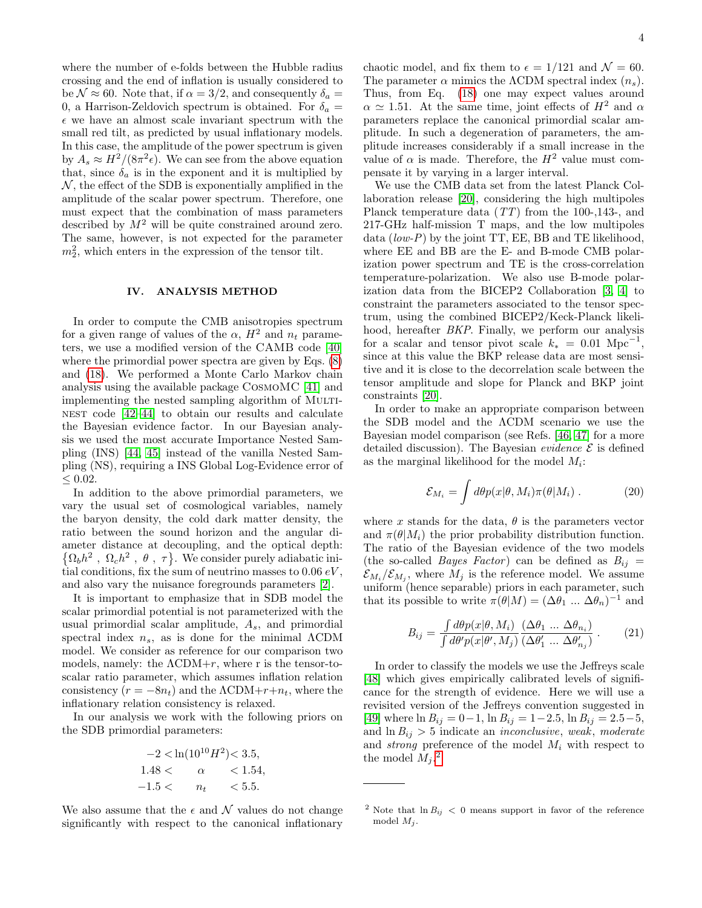where the number of e-folds between the Hubble radius crossing and the end of inflation is usually considered to be  $\mathcal{N} \approx 60$ . Note that, if  $\alpha = 3/2$ , and consequently  $\delta_a =$ 0, a Harrison-Zeldovich spectrum is obtained. For  $\delta_a =$  $\epsilon$  we have an almost scale invariant spectrum with the small red tilt, as predicted by usual inflationary models. In this case, the amplitude of the power spectrum is given by  $A_s \approx H^2/(8\pi^2 \epsilon)$ . We can see from the above equation that, since  $\delta_a$  is in the exponent and it is multiplied by  $\mathcal N$ , the effect of the SDB is exponentially amplified in the amplitude of the scalar power spectrum. Therefore, one must expect that the combination of mass parameters described by  $M^2$  will be quite constrained around zero. The same, however, is not expected for the parameter  $m_2^2$ , which enters in the expression of the tensor tilt.

### <span id="page-3-0"></span>IV. ANALYSIS METHOD

In order to compute the CMB anisotropies spectrum for a given range of values of the  $\alpha$ ,  $H^2$  and  $n_t$  parameters, we use a modified version of the CAMB code [\[40\]](#page-7-25) where the primordial power spectra are given by Eqs.  $(8)$ and [\(18\)](#page-2-5). We performed a Monte Carlo Markov chain analysis using the available package CosmoMC [\[41\]](#page-7-26) and implementing the nested sampling algorithm of MULTI-NEST code  $[42-44]$  $[42-44]$  to obtain our results and calculate the Bayesian evidence factor. In our Bayesian analysis we used the most accurate Importance Nested Sampling (INS) [\[44,](#page-7-28) [45\]](#page-7-29) instead of the vanilla Nested Sampling (NS), requiring a INS Global Log-Evidence error of  $\leq$  0.02.

In addition to the above primordial parameters, we vary the usual set of cosmological variables, namely the baryon density, the cold dark matter density, the ratio between the sound horizon and the angular diameter distance at decoupling, and the optical depth:  $\{\Omega_b h^2, \Omega_c h^2, \theta, \tau\}.$  We consider purely adiabatic initial conditions, fix the sum of neutrino masses to  $0.06 \, eV$ , and also vary the nuisance foregrounds parameters [\[2\]](#page-6-2).

It is important to emphasize that in SDB model the scalar primordial potential is not parameterized with the usual primordial scalar amplitude,  $A_s$ , and primordial spectral index  $n_s$ , as is done for the minimal  $\Lambda$ CDM model. We consider as reference for our comparison two models, namely: the  $\Lambda \text{CDM} + r$ , where r is the tensor-toscalar ratio parameter, which assumes inflation relation consistency  $(r = -8n_t)$  and the  $\Lambda \text{CDM} + r + n_t$ , where the inflationary relation consistency is relaxed.

In our analysis we work with the following priors on the SDB primordial parameters:

$$
-2 < \ln(10^{10}H^2) < 3.5, \\
1.48 < \alpha < 1.54, \\
-1.5 < n_t < 5.5.
$$

We also assume that the  $\epsilon$  and N values do not change significantly with respect to the canonical inflationary chaotic model, and fix them to  $\epsilon = 1/121$  and  $\mathcal{N} = 60$ . The parameter  $\alpha$  mimics the  $\Lambda$ CDM spectral index  $(n_s)$ . Thus, from Eq. [\(18\)](#page-2-5) one may expect values around  $\alpha \simeq 1.51$ . At the same time, joint effects of  $H^2$  and  $\alpha$ parameters replace the canonical primordial scalar amplitude. In such a degeneration of parameters, the amplitude increases considerably if a small increase in the value of  $\alpha$  is made. Therefore, the  $H^2$  value must compensate it by varying in a larger interval.

We use the CMB data set from the latest Planck Collaboration release [\[20\]](#page-7-6), considering the high multipoles Planck temperature data (TT) from the 100-,143-, and 217-GHz half-mission T maps, and the low multipoles data  $(low-P)$  by the joint TT, EE, BB and TE likelihood, where EE and BB are the E- and B-mode CMB polarization power spectrum and TE is the cross-correlation temperature-polarization. We also use B-mode polarization data from the BICEP2 Collaboration [\[3,](#page-6-3) [4\]](#page-6-4) to constraint the parameters associated to the tensor spectrum, using the combined BICEP2/Keck-Planck likelihood, hereafter BKP. Finally, we perform our analysis for a scalar and tensor pivot scale  $k_* = 0.01 \text{ Mpc}^{-1}$ , since at this value the BKP release data are most sensitive and it is close to the decorrelation scale between the tensor amplitude and slope for Planck and BKP joint constraints [\[20\]](#page-7-6).

In order to make an appropriate comparison between the SDB model and the ΛCDM scenario we use the Bayesian model comparison (see Refs. [\[46,](#page-7-30) [47\]](#page-7-31) for a more detailed discussion). The Bayesian *evidence*  $\mathcal{E}$  is defined as the marginal likelihood for the model  $M_i$ :

$$
\mathcal{E}_{M_i} = \int d\theta p(x|\theta, M_i) \pi(\theta|M_i) . \qquad (20)
$$

where x stands for the data,  $\theta$  is the parameters vector and  $\pi(\theta|M_i)$  the prior probability distribution function. The ratio of the Bayesian evidence of the two models (the so-called *Bayes Factor*) can be defined as  $B_{ij} =$  $\mathcal{E}_{M_i}/\mathcal{E}_{M_j}$ , where  $M_j$  is the reference model. We assume uniform (hence separable) priors in each parameter, such that its possible to write  $\pi(\theta|M) = (\Delta \theta_1 \dots \Delta \theta_n)^{-1}$  and

$$
B_{ij} = \frac{\int d\theta p(x|\theta, M_i)}{\int d\theta' p(x|\theta', M_j)} \frac{(\Delta \theta_1 \dots \Delta \theta_{n_i})}{(\Delta \theta'_1 \dots \Delta \theta'_{n_j})} . \tag{21}
$$

In order to classify the models we use the Jeffreys scale [\[48\]](#page-7-32) which gives empirically calibrated levels of significance for the strength of evidence. Here we will use a revisited version of the Jeffreys convention suggested in [\[49\]](#page-7-33) where  $\ln B_{ij} = 0 - 1$ ,  $\ln B_{ij} = 1 - 2.5$ ,  $\ln B_{ij} = 2.5 - 5$ , and  $\ln B_{ij} > 5$  indicate an *inconclusive*, weak, moderate and *strong* preference of the model  $M_i$  with respect to the model  $M_j$ .<sup>[2](#page-3-1)</sup>

<span id="page-3-1"></span><sup>&</sup>lt;sup>2</sup> Note that  $\ln B_{ij} < 0$  means support in favor of the reference model  $M_i$ .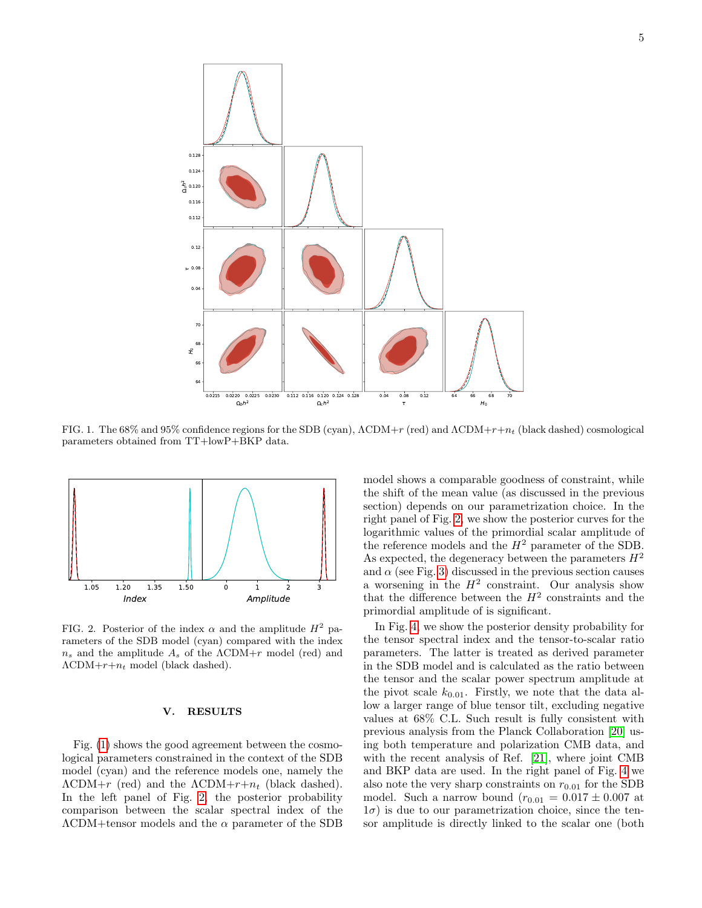

<span id="page-4-1"></span>FIG. 1. The 68% and 95% confidence regions for the SDB (cyan),  $\Lambda \text{CDM}+r$  (red) and  $\Lambda \text{CDM}+r+n_t$  (black dashed) cosmological parameters obtained from TT+lowP+BKP data.



<span id="page-4-2"></span>FIG. 2. Posterior of the index  $\alpha$  and the amplitude  $H^2$  parameters of the SDB model (cyan) compared with the index  $n_s$  and the amplitude  $A_s$  of the  $\Lambda$ CDM+r model (red) and  $\Lambda$ CDM+ $r+n_t$  model (black dashed).

## <span id="page-4-0"></span>V. RESULTS

Fig. [\(1\)](#page-4-1) shows the good agreement between the cosmological parameters constrained in the context of the SDB model (cyan) and the reference models one, namely the  $\Lambda$ CDM+r (red) and the  $\Lambda$ CDM+r+ $n_t$  (black dashed). In the left panel of Fig. [2,](#page-4-2) the posterior probability comparison between the scalar spectral index of the  $\Lambda$ CDM+tensor models and the  $\alpha$  parameter of the SDB model shows a comparable goodness of constraint, while the shift of the mean value (as discussed in the previous section) depends on our parametrization choice. In the right panel of Fig. [2,](#page-4-2) we show the posterior curves for the logarithmic values of the primordial scalar amplitude of the reference models and the  $H^2$  parameter of the SDB. As expected, the degeneracy between the parameters  $H^2$ and  $\alpha$  (see Fig. [3\)](#page-5-0) discussed in the previous section causes a worsening in the  $H^2$  constraint. Our analysis show that the difference between the  $H^2$  constraints and the primordial amplitude of is significant.

In Fig. [4,](#page-5-1) we show the posterior density probability for the tensor spectral index and the tensor-to-scalar ratio parameters. The latter is treated as derived parameter in the SDB model and is calculated as the ratio between the tensor and the scalar power spectrum amplitude at the pivot scale  $k_{0.01}$ . Firstly, we note that the data allow a larger range of blue tensor tilt, excluding negative values at 68% C.L. Such result is fully consistent with previous analysis from the Planck Collaboration [\[20\]](#page-7-6) using both temperature and polarization CMB data, and with the recent analysis of Ref. [\[21\]](#page-7-7), where joint CMB and BKP data are used. In the right panel of Fig. [4](#page-5-1) we also note the very sharp constraints on  $r_{0.01}$  for the SDB model. Such a narrow bound  $(r_{0.01} = 0.017 \pm 0.007)$  at  $1\sigma$ ) is due to our parametrization choice, since the tensor amplitude is directly linked to the scalar one (both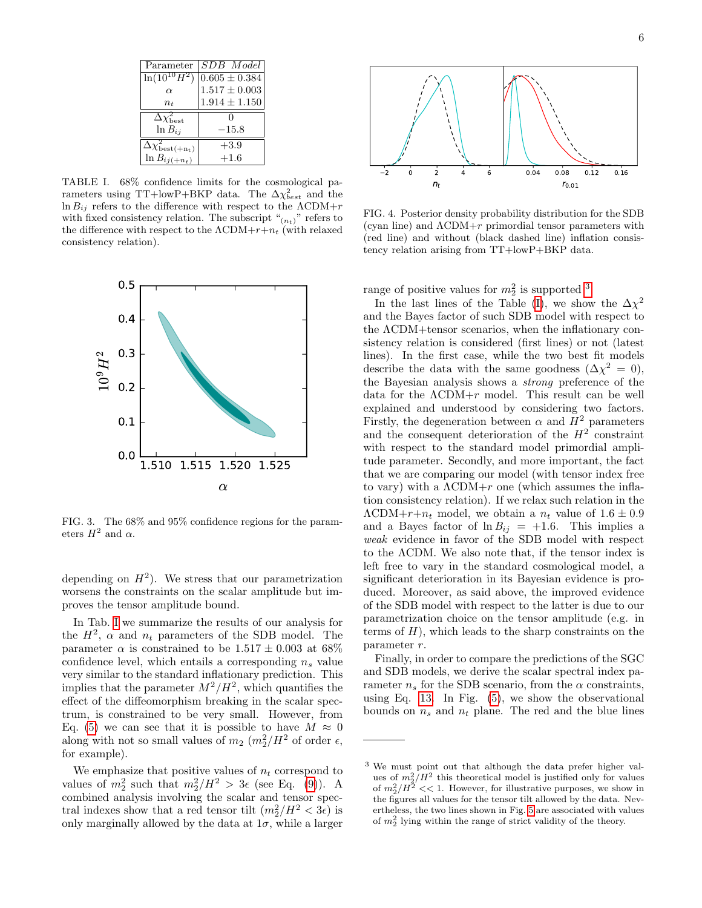| Parameter                                  | SDB Model                                                         |
|--------------------------------------------|-------------------------------------------------------------------|
| $\ln(10^{10}H^2)$                          | $\begin{array}{c} 0.605 \pm 0.384 \\ 1.517 \pm 0.003 \end{array}$ |
| $\alpha$                                   |                                                                   |
| $n_{t}$                                    | $1.914 \pm 1.150$                                                 |
|                                            |                                                                   |
| $\Delta\chi^2_{\rm best}$                  |                                                                   |
| $ln B_{ij}$                                | $-15.8$                                                           |
|                                            |                                                                   |
| $\overline{\Delta}\chi^2_{\rm best(+n_t)}$ | $+3.9$                                                            |
| $\ln B_{ij(+n_t)}$                         | $+1.6$                                                            |

<span id="page-5-2"></span>TABLE I. 68% confidence limits for the cosmological parameters using TT+lowP+BKP data. The  $\Delta \chi_{best}^2$  and the  $\ln B_{ij}$  refers to the difference with respect to the  $\Lambda \text{CDM} + r$ with fixed consistency relation. The subscript " $(n_t)$ " refers to the difference with respect to the  $\Lambda$ CDM+ $r+n_t$  (with relaxed consistency relation).



<span id="page-5-0"></span>FIG. 3. The 68% and 95% confidence regions for the parameters  $H^2$  and  $\alpha$ .

depending on  $H^2$ ). We stress that our parametrization worsens the constraints on the scalar amplitude but improves the tensor amplitude bound.

In Tab. [I](#page-5-2) we summarize the results of our analysis for the  $H^2$ ,  $\alpha$  and  $n_t$  parameters of the SDB model. The parameter  $\alpha$  is constrained to be  $1.517 \pm 0.003$  at 68% confidence level, which entails a corresponding  $n_s$  value very similar to the standard inflationary prediction. This implies that the parameter  $M^2/H^2$ , which quantifies the effect of the diffeomorphism breaking in the scalar spectrum, is constrained to be very small. However, from Eq. [\(5\)](#page-1-3) we can see that it is possible to have  $M \approx 0$ along with not so small values of  $m_2$   $(m_2^2/H^2)$  of order  $\epsilon$ , for example).

We emphasize that positive values of  $n_t$  correspond to values of  $m_2^2$  such that  $m_2^2/H^2 > 3\epsilon$  (see Eq. [\(9\)](#page-1-4)). A combined analysis involving the scalar and tensor spectral indexes show that a red tensor tilt  $(m_2^2/H^2 < 3\epsilon)$  is only marginally allowed by the data at  $1\sigma$ , while a larger



<span id="page-5-1"></span>FIG. 4. Posterior density probability distribution for the SDB (cyan line) and  $\Lambda \text{CDM} + r$  primordial tensor parameters with (red line) and without (black dashed line) inflation consistency relation arising from TT+lowP+BKP data.

range of positive values for  $m_2^2$  is supported <sup>[3](#page-5-3)</sup>.

In the last lines of the Table [\(I\)](#page-5-2), we show the  $\Delta \chi^2$ and the Bayes factor of such SDB model with respect to the ΛCDM+tensor scenarios, when the inflationary consistency relation is considered (first lines) or not (latest lines). In the first case, while the two best fit models describe the data with the same goodness  $(\Delta \chi^2 = 0)$ , the Bayesian analysis shows a strong preference of the data for the  $\Lambda \text{CDM} + r$  model. This result can be well explained and understood by considering two factors. Firstly, the degeneration between  $\alpha$  and  $H^2$  parameters and the consequent deterioration of the  $H^2$  constraint with respect to the standard model primordial amplitude parameter. Secondly, and more important, the fact that we are comparing our model (with tensor index free to vary) with a  $\Lambda$ CDM+r one (which assumes the inflation consistency relation). If we relax such relation in the  $\Lambda \text{CDM} + r + n_t$  model, we obtain a  $n_t$  value of  $1.6 \pm 0.9$ and a Bayes factor of  $\ln B_{ij} = +1.6$ . This implies a weak evidence in favor of the SDB model with respect to the ΛCDM. We also note that, if the tensor index is left free to vary in the standard cosmological model, a significant deterioration in its Bayesian evidence is produced. Moreover, as said above, the improved evidence of the SDB model with respect to the latter is due to our parametrization choice on the tensor amplitude (e.g. in terms of  $H$ ), which leads to the sharp constraints on the parameter r.

Finally, in order to compare the predictions of the SGC and SDB models, we derive the scalar spectral index parameter  $n_s$  for the SDB scenario, from the  $\alpha$  constraints, using Eq. [13.](#page-2-3) In Fig. [\(5\)](#page-6-5), we show the observational bounds on  $n_s$  and  $n_t$  plane. The red and the blue lines

<span id="page-5-3"></span><sup>3</sup> We must point out that although the data prefer higher values of  $m_2^2/H^2$  this theoretical model is justified only for values of  $m_2^2/H^2 \ll 1$ . However, for illustrative purposes, we show in the figures all values for the tensor tilt allowed by the data. Nevertheless, the two lines shown in Fig. [5](#page-6-5) are associated with values of  $m_2^2$  lying within the range of strict validity of the theory.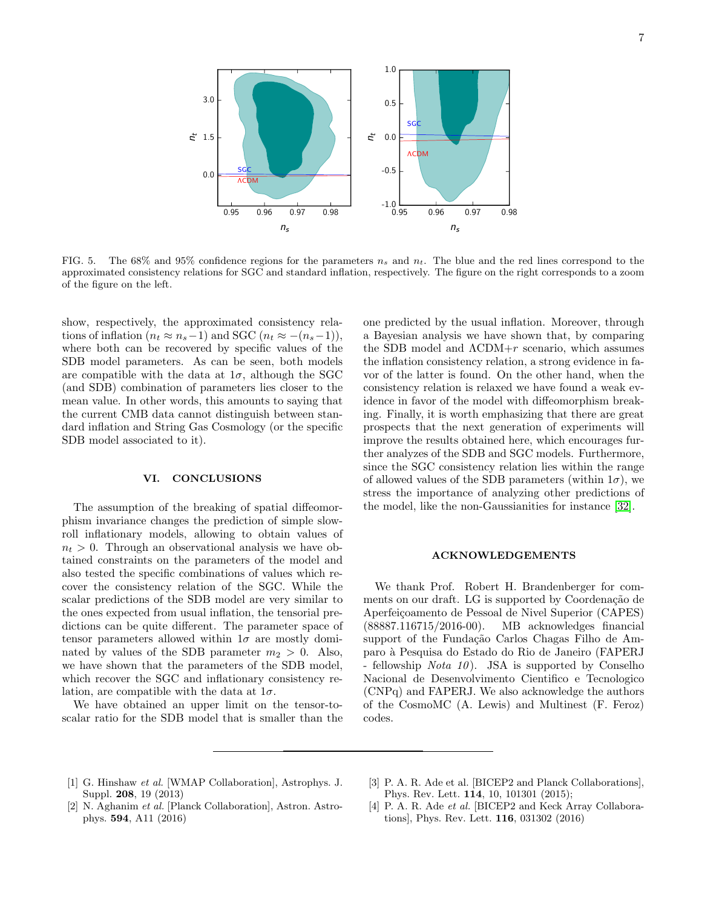

<span id="page-6-5"></span>FIG. 5. The 68% and 95% confidence regions for the parameters  $n_s$  and  $n_t$ . The blue and the red lines correspond to the approximated consistency relations for SGC and standard inflation, respectively. The figure on the right corresponds to a zoom of the figure on the left.

show, respectively, the approximated consistency relations of inflation  $(n_t \approx n_s-1)$  and SGC  $(n_t \approx -(n_s-1)),$ where both can be recovered by specific values of the SDB model parameters. As can be seen, both models are compatible with the data at  $1\sigma$ , although the SGC (and SDB) combination of parameters lies closer to the mean value. In other words, this amounts to saying that the current CMB data cannot distinguish between standard inflation and String Gas Cosmology (or the specific SDB model associated to it).

### <span id="page-6-1"></span>VI. CONCLUSIONS

The assumption of the breaking of spatial diffeomorphism invariance changes the prediction of simple slowroll inflationary models, allowing to obtain values of  $n_t > 0$ . Through an observational analysis we have obtained constraints on the parameters of the model and also tested the specific combinations of values which recover the consistency relation of the SGC. While the scalar predictions of the SDB model are very similar to the ones expected from usual inflation, the tensorial predictions can be quite different. The parameter space of tensor parameters allowed within  $1\sigma$  are mostly dominated by values of the SDB parameter  $m_2 > 0$ . Also, we have shown that the parameters of the SDB model, which recover the SGC and inflationary consistency relation, are compatible with the data at  $1\sigma$ .

We have obtained an upper limit on the tensor-toscalar ratio for the SDB model that is smaller than the one predicted by the usual inflation. Moreover, through a Bayesian analysis we have shown that, by comparing the SDB model and  $\Lambda$ CDM+ $r$  scenario, which assumes the inflation consistency relation, a strong evidence in favor of the latter is found. On the other hand, when the consistency relation is relaxed we have found a weak evidence in favor of the model with diffeomorphism breaking. Finally, it is worth emphasizing that there are great prospects that the next generation of experiments will improve the results obtained here, which encourages further analyzes of the SDB and SGC models. Furthermore, since the SGC consistency relation lies within the range of allowed values of the SDB parameters (within  $1\sigma$ ), we stress the importance of analyzing other predictions of the model, like the non-Gaussianities for instance [\[32\]](#page-7-24).

## ACKNOWLEDGEMENTS

We thank Prof. Robert H. Brandenberger for comments on our draft. LG is supported by Coordenação de Aperfeiçoamento de Pessoal de Nivel Superior (CAPES) (88887.116715/2016-00). MB acknowledges financial support of the Fundação Carlos Chagas Filho de Amparo `a Pesquisa do Estado do Rio de Janeiro (FAPERJ - fellowship  $Nota$  10. JSA is supported by Conselho Nacional de Desenvolvimento Cientifico e Tecnologico (CNPq) and FAPERJ. We also acknowledge the authors of the CosmoMC (A. Lewis) and Multinest (F. Feroz) codes.

- <span id="page-6-0"></span>[1] G. Hinshaw et al. [WMAP Collaboration], Astrophys. J. Suppl. 208, 19 (2013)
- <span id="page-6-3"></span>[3] P. A. R. Ade et al. [BICEP2 and Planck Collaborations], Phys. Rev. Lett. 114, 10, 101301 (2015);
- <span id="page-6-2"></span>[2] N. Aghanim et al. [Planck Collaboration], Astron. Astrophys. 594, A11 (2016)
- <span id="page-6-4"></span>[4] P. A. R. Ade et al. [BICEP2 and Keck Array Collaborations], Phys. Rev. Lett. 116, 031302 (2016)